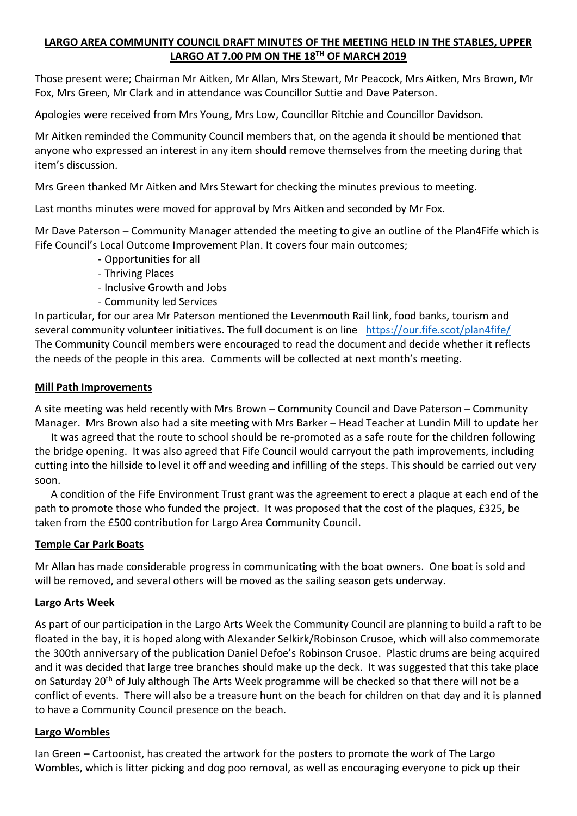# **LARGO AREA COMMUNITY COUNCIL DRAFT MINUTES OF THE MEETING HELD IN THE STABLES, UPPER LARGO AT 7.00 PM ON THE 18TH OF MARCH 2019**

Those present were; Chairman Mr Aitken, Mr Allan, Mrs Stewart, Mr Peacock, Mrs Aitken, Mrs Brown, Mr Fox, Mrs Green, Mr Clark and in attendance was Councillor Suttie and Dave Paterson.

Apologies were received from Mrs Young, Mrs Low, Councillor Ritchie and Councillor Davidson.

Mr Aitken reminded the Community Council members that, on the agenda it should be mentioned that anyone who expressed an interest in any item should remove themselves from the meeting during that item's discussion.

Mrs Green thanked Mr Aitken and Mrs Stewart for checking the minutes previous to meeting.

Last months minutes were moved for approval by Mrs Aitken and seconded by Mr Fox.

Mr Dave Paterson – Community Manager attended the meeting to give an outline of the Plan4Fife which is Fife Council's Local Outcome Improvement Plan. It covers four main outcomes;

- Opportunities for all
- Thriving Places
- Inclusive Growth and Jobs
- Community led Services

In particular, for our area Mr Paterson mentioned the Levenmouth Rail link, food banks, tourism and several community volunteer initiatives. The full document is on line <https://our.fife.scot/plan4fife/> The Community Council members were encouraged to read the document and decide whether it reflects the needs of the people in this area. Comments will be collected at next month's meeting.

### **Mill Path Improvements**

A site meeting was held recently with Mrs Brown – Community Council and Dave Paterson – Community Manager. Mrs Brown also had a site meeting with Mrs Barker – Head Teacher at Lundin Mill to update her

 It was agreed that the route to school should be re-promoted as a safe route for the children following the bridge opening. It was also agreed that Fife Council would carryout the path improvements, including cutting into the hillside to level it off and weeding and infilling of the steps. This should be carried out very soon.

 A condition of the Fife Environment Trust grant was the agreement to erect a plaque at each end of the path to promote those who funded the project. It was proposed that the cost of the plaques, £325, be taken from the £500 contribution for Largo Area Community Council.

### **Temple Car Park Boats**

Mr Allan has made considerable progress in communicating with the boat owners. One boat is sold and will be removed, and several others will be moved as the sailing season gets underway.

### **Largo Arts Week**

As part of our participation in the Largo Arts Week the Community Council are planning to build a raft to be floated in the bay, it is hoped along with Alexander Selkirk/Robinson Crusoe, which will also commemorate the 300th anniversary of the publication Daniel Defoe's Robinson Crusoe. Plastic drums are being acquired and it was decided that large tree branches should make up the deck. It was suggested that this take place on Saturday 20<sup>th</sup> of July although The Arts Week programme will be checked so that there will not be a conflict of events. There will also be a treasure hunt on the beach for children on that day and it is planned to have a Community Council presence on the beach.

### **Largo Wombles**

Ian Green – Cartoonist, has created the artwork for the posters to promote the work of The Largo Wombles, which is litter picking and dog poo removal, as well as encouraging everyone to pick up their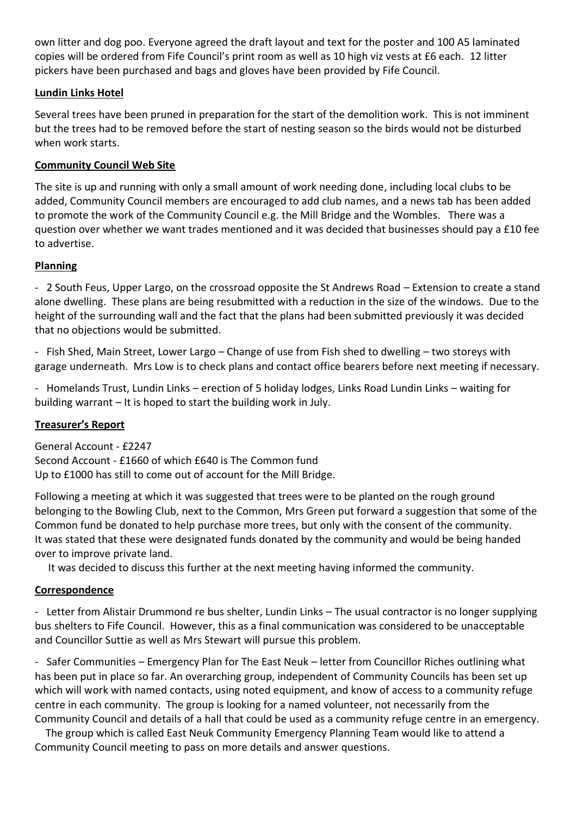own litter and dog poo. Everyone agreed the draft layout and text for the poster and 100 A5 laminated copies will be ordered from Fife Council's print room as well as 10 high viz vests at £6 each. 12 litter pickers have been purchased and bags and gloves have been provided by Fife Council.

## **Lundin Links Hotel**

Several trees have been pruned in preparation for the start of the demolition work. This is not imminent but the trees had to be removed before the start of nesting season so the birds would not be disturbed when work starts.

## **Community Council Web Site**

The site is up and running with only a small amount of work needing done, including local clubs to be added, Community Council members are encouraged to add club names, and a news tab has been added to promote the work of the Community Council e.g. the Mill Bridge and the Wombles. There was a question over whether we want trades mentioned and it was decided that businesses should pay a £10 fee to advertise.

## **Planning**

- 2 South Feus, Upper Largo, on the crossroad opposite the St Andrews Road – Extension to create a stand alone dwelling. These plans are being resubmitted with a reduction in the size of the windows. Due to the height of the surrounding wall and the fact that the plans had been submitted previously it was decided that no objections would be submitted.

- Fish Shed, Main Street, Lower Largo – Change of use from Fish shed to dwelling – two storeys with garage underneath. Mrs Low is to check plans and contact office bearers before next meeting if necessary.

- Homelands Trust, Lundin Links – erection of 5 holiday lodges, Links Road Lundin Links – waiting for building warrant – It is hoped to start the building work in July.

### **Treasurer's Report**

General Account - £2247 Second Account - £1660 of which £640 is The Common fund Up to £1000 has still to come out of account for the Mill Bridge.

Following a meeting at which it was suggested that trees were to be planted on the rough ground belonging to the Bowling Club, next to the Common, Mrs Green put forward a suggestion that some of the Common fund be donated to help purchase more trees, but only with the consent of the community. It was stated that these were designated funds donated by the community and would be being handed over to improve private land.

It was decided to discuss this further at the next meeting having informed the community.

## **Correspondence**

- Letter from Alistair Drummond re bus shelter, Lundin Links – The usual contractor is no longer supplying bus shelters to Fife Council. However, this as a final communication was considered to be unacceptable and Councillor Suttie as well as Mrs Stewart will pursue this problem.

- Safer Communities – Emergency Plan for The East Neuk – letter from Councillor Riches outlining what has been put in place so far. An overarching group, independent of Community Councils has been set up which will work with named contacts, using noted equipment, and know of access to a community refuge centre in each community. The group is looking for a named volunteer, not necessarily from the Community Council and details of a hall that could be used as a community refuge centre in an emergency.

 The group which is called East Neuk Community Emergency Planning Team would like to attend a Community Council meeting to pass on more details and answer questions.